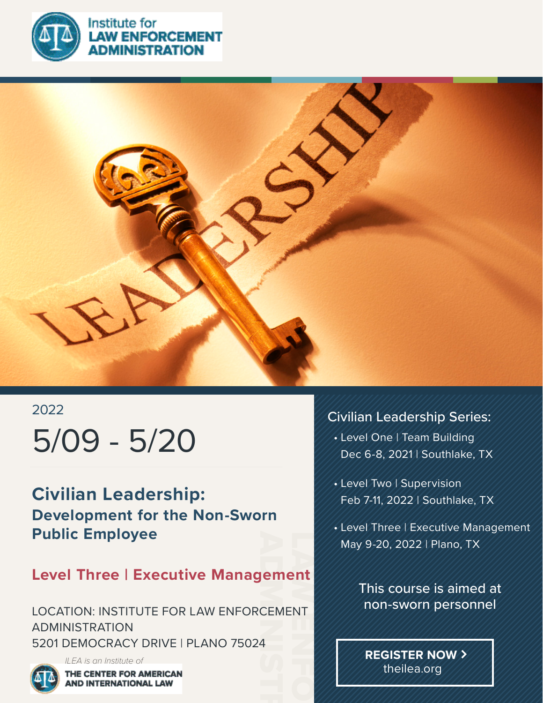

**NISTRATION** 



## 2022 5/09 - 5/20

**Civilian Leadership: Development for the Non-Sworn Public Employee**

### **Level Three | Executive Management**

Jem<br>CEM<br>4 LAW ENFORCEMENT CONTROL LOCATION: INSTITUTE FOR LAW ENFORCEMENT ADMINISTRATION 5201 DEMOCRACY DRIVE | PLANO 75024

*ILEA is an Institute of* THE CENTER FOR AMERICAN **AND INTERNATIONAL LAW** 

### Civilian Leadership Series:

- Level One | Team Building Dec 6-8, 2021 | Southlake, TX
- Level Two | Supervision Feb 7-11, 2022 | Southlake, TX
- Level Three | Executive Management May 9-20, 2022 | Plano, TX

This course is aimed at non-sworn personnel

**REGISTER NOW** theilea.org